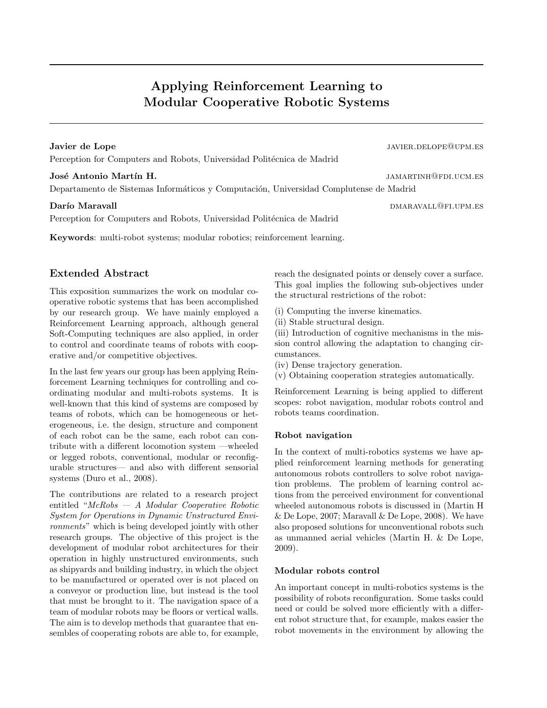# Applying Reinforcement Learning to Modular Cooperative Robotic Systems

Javier de Lope javier de Lope javier. De la second la second de la second de la second de la second de la second de la second de la second de la second de la second de la second de la second de la second de la second de la Perception for Computers and Robots, Universidad Politécnica de Madrid

Departamento de Sistemas Informáticos y Computación, Universidad Complutense de Madrid

## **Darío Maravall** de Caravall de Caravall de Caravall de Caravall de Caravall de Caravall de Caravall de Caravall

Perception for Computers and Robots, Universidad Politécnica de Madrid

Keywords: multi-robot systems; modular robotics; reinforcement learning.

# Extended Abstract

This exposition summarizes the work on modular cooperative robotic systems that has been accomplished by our research group. We have mainly employed a Reinforcement Learning approach, although general Soft-Computing techniques are also applied, in order to control and coordinate teams of robots with cooperative and/or competitive objectives.

In the last few years our group has been applying Reinforcement Learning techniques for controlling and coordinating modular and multi-robots systems. It is well-known that this kind of systems are composed by teams of robots, which can be homogeneous or heterogeneous, i.e. the design, structure and component of each robot can be the same, each robot can contribute with a different locomotion system —wheeled or legged robots, conventional, modular or reconfigurable structures— and also with different sensorial systems (Duro et al., 2008).

The contributions are related to a research project entitled "McRobs — A Modular Cooperative Robotic System for Operations in Dynamic Unstructured Environments" which is being developed jointly with other research groups. The objective of this project is the development of modular robot architectures for their operation in highly unstructured environments, such as shipyards and building industry, in which the object to be manufactured or operated over is not placed on a conveyor or production line, but instead is the tool that must be brought to it. The navigation space of a team of modular robots may be floors or vertical walls. The aim is to develop methods that guarantee that ensembles of cooperating robots are able to, for example,

reach the designated points or densely cover a surface. This goal implies the following sub-objectives under the structural restrictions of the robot:

(i) Computing the inverse kinematics.

(ii) Stable structural design.

(iii) Introduction of cognitive mechanisms in the mission control allowing the adaptation to changing circumstances.

(iv) Dense trajectory generation.

(v) Obtaining cooperation strategies automatically.

Reinforcement Learning is being applied to different scopes: robot navigation, modular robots control and robots teams coordination.

# Robot navigation

In the context of multi-robotics systems we have applied reinforcement learning methods for generating autonomous robots controllers to solve robot navigation problems. The problem of learning control actions from the perceived environment for conventional wheeled autonomous robots is discussed in (Martin H & De Lope, 2007; Maravall & De Lope, 2008). We have also proposed solutions for unconventional robots such as unmanned aerial vehicles (Martin H. & De Lope, 2009).

# Modular robots control

An important concept in multi-robotics systems is the possibility of robots reconfiguration. Some tasks could need or could be solved more efficiently with a different robot structure that, for example, makes easier the robot movements in the environment by allowing the

José Antonio Martín H. jamach and the settlement of the settlement of the settlement of the settlement of the settlement of the settlement of the settlement of the settlement of the settlement of the settlement of the sett